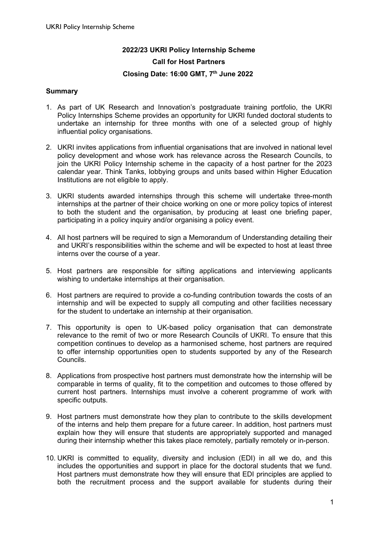# **2022/23 UKRI Policy Internship Scheme Call for Host Partners Closing Date: 16:00 GMT, 7th June 2022**

#### **Summary**

- 1. As part of UK Research and Innovation's postgraduate training portfolio, the UKRI Policy Internships Scheme provides an opportunity for UKRI funded doctoral students to undertake an internship for three months with one of a selected group of highly influential policy organisations.
- 2. UKRI invites applications from influential organisations that are involved in national level policy development and whose work has relevance across the Research Councils, to join the UKRI Policy Internship scheme in the capacity of a host partner for the 2023 calendar year. Think Tanks, lobbying groups and units based within Higher Education Institutions are not eligible to apply.
- 3. UKRI students awarded internships through this scheme will undertake three-month internships at the partner of their choice working on one or more policy topics of interest to both the student and the organisation, by producing at least one briefing paper, participating in a policy inquiry and/or organising a policy event.
- 4. All host partners will be required to sign a Memorandum of Understanding detailing their and UKRI's responsibilities within the scheme and will be expected to host at least three interns over the course of a year.
- 5. Host partners are responsible for sifting applications and interviewing applicants wishing to undertake internships at their organisation.
- 6. Host partners are required to provide a co-funding contribution towards the costs of an internship and will be expected to supply all computing and other facilities necessary for the student to undertake an internship at their organisation.
- 7. This opportunity is open to UK-based policy organisation that can demonstrate relevance to the remit of two or more Research Councils of UKRI. To ensure that this competition continues to develop as a harmonised scheme, host partners are required to offer internship opportunities open to students supported by any of the Research Councils.
- 8. Applications from prospective host partners must demonstrate how the internship will be comparable in terms of quality, fit to the competition and outcomes to those offered by current host partners. Internships must involve a coherent programme of work with specific outputs.
- 9. Host partners must demonstrate how they plan to contribute to the skills development of the interns and help them prepare for a future career. In addition, host partners must explain how they will ensure that students are appropriately supported and managed during their internship whether this takes place remotely, partially remotely or in-person.
- 10. UKRI is committed to equality, diversity and inclusion (EDI) in all we do, and this includes the opportunities and support in place for the doctoral students that we fund. Host partners must demonstrate how they will ensure that EDI principles are applied to both the recruitment process and the support available for students during their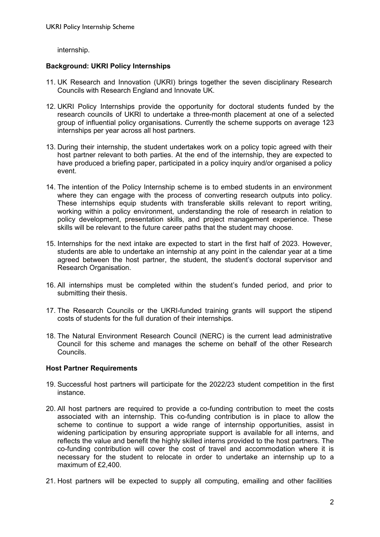internship.

## **Background: UKRI Policy Internships**

- 11. UK Research and Innovation (UKRI) brings together the seven disciplinary Research Councils with Research England and Innovate UK.
- 12. UKRI Policy Internships provide the opportunity for doctoral students funded by the research councils of UKRI to undertake a three-month placement at one of a selected group of influential policy organisations. Currently the scheme supports on average 123 internships per year across all host partners.
- 13. During their internship, the student undertakes work on a policy topic agreed with their host partner relevant to both parties. At the end of the internship, they are expected to have produced a briefing paper, participated in a policy inquiry and/or organised a policy event.
- 14. The intention of the Policy Internship scheme is to embed students in an environment where they can engage with the process of converting research outputs into policy. These internships equip students with transferable skills relevant to report writing, working within a policy environment, understanding the role of research in relation to policy development, presentation skills, and project management experience. These skills will be relevant to the future career paths that the student may choose.
- 15. Internships for the next intake are expected to start in the first half of 2023. However, students are able to undertake an internship at any point in the calendar year at a time agreed between the host partner, the student, the student's doctoral supervisor and Research Organisation.
- 16. All internships must be completed within the student's funded period, and prior to submitting their thesis.
- 17. The Research Councils or the UKRI-funded training grants will support the stipend costs of students for the full duration of their internships.
- 18. The Natural Environment Research Council (NERC) is the current lead administrative Council for this scheme and manages the scheme on behalf of the other Research Councils.

#### **Host Partner Requirements**

- 19. Successful host partners will participate for the 2022/23 student competition in the first instance.
- 20. All host partners are required to provide a co-funding contribution to meet the costs associated with an internship. This co-funding contribution is in place to allow the scheme to continue to support a wide range of internship opportunities, assist in widening participation by ensuring appropriate support is available for all interns, and reflects the value and benefit the highly skilled interns provided to the host partners. The co-funding contribution will cover the cost of travel and accommodation where it is necessary for the student to relocate in order to undertake an internship up to a maximum of £2,400.
- 21. Host partners will be expected to supply all computing, emailing and other facilities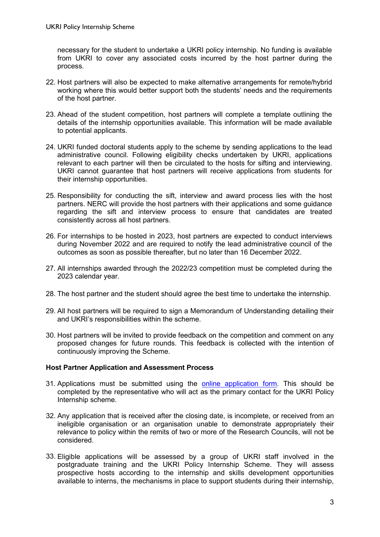necessary for the student to undertake a UKRI policy internship. No funding is available from UKRI to cover any associated costs incurred by the host partner during the process.

- 22. Host partners will also be expected to make alternative arrangements for remote/hybrid working where this would better support both the students' needs and the requirements of the host partner.
- 23. Ahead of the student competition, host partners will complete a template outlining the details of the internship opportunities available. This information will be made available to potential applicants.
- 24. UKRI funded doctoral students apply to the scheme by sending applications to the lead administrative council. Following eligibility checks undertaken by UKRI, applications relevant to each partner will then be circulated to the hosts for sifting and interviewing. UKRI cannot guarantee that host partners will receive applications from students for their internship opportunities.
- 25. Responsibility for conducting the sift, interview and award process lies with the host partners. NERC will provide the host partners with their applications and some guidance regarding the sift and interview process to ensure that candidates are treated consistently across all host partners.
- 26. For internships to be hosted in 2023, host partners are expected to conduct interviews during November 2022 and are required to notify the lead administrative council of the outcomes as soon as possible thereafter, but no later than 16 December 2022.
- 27. All internships awarded through the 2022/23 competition must be completed during the 2023 calendar year.
- 28. The host partner and the student should agree the best time to undertake the internship.
- 29. All host partners will be required to sign a Memorandum of Understanding detailing their and UKRI's responsibilities within the scheme.
- 30. Host partners will be invited to provide feedback on the competition and comment on any proposed changes for future rounds. This feedback is collected with the intention of continuously improving the Scheme.

#### **Host Partner Application and Assessment Process**

- 31. Applications must be submitted using the [online application form.](https://www.ukri.org/publications/ukri-policy-internships/) This should be completed by the representative who will act as the primary contact for the UKRI Policy Internship scheme.
- 32. Any application that is received after the closing date, is incomplete, or received from an ineligible organisation or an organisation unable to demonstrate appropriately their relevance to policy within the remits of two or more of the Research Councils, will not be considered.
- 33. Eligible applications will be assessed by a group of UKRI staff involved in the postgraduate training and the UKRI Policy Internship Scheme. They will assess prospective hosts according to the internship and skills development opportunities available to interns, the mechanisms in place to support students during their internship,